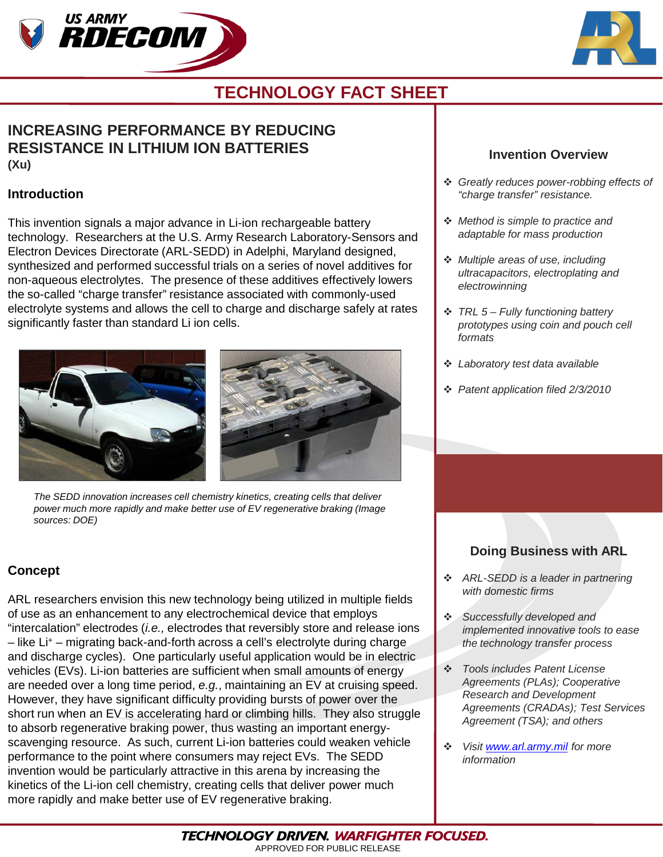



## **TECHNOLOGY FACT SHEET**

### **INCREASING PERFORMANCE BY REDUCING RESISTANCE IN LITHIUM ION BATTERIES (Xu)**

#### **Introduction**

This invention signals a major advance in Li-ion rechargeable battery technology. Researchers at the U.S. Army Research Laboratory-Sensors and Electron Devices Directorate (ARL-SEDD) in Adelphi, Maryland designed, synthesized and performed successful trials on a series of novel additives for non-aqueous electrolytes. The presence of these additives effectively lowers the so-called "charge transfer" resistance associated with commonly-used electrolyte systems and allows the cell to charge and discharge safely at rates significantly faster than standard Li ion cells.



*The SEDD innovation increases cell chemistry kinetics, creating cells that deliver power much more rapidly and make better use of EV regenerative braking (Image sources: DOE)*

### **Concept**

ARL researchers envision this new technology being utilized in multiple fields of use as an enhancement to any electrochemical device that employs "intercalation" electrodes (*i.e.,* electrodes that reversibly store and release ions – like Li+ – migrating back-and-forth across a cell's electrolyte during charge and discharge cycles). One particularly useful application would be in electric vehicles (EVs). Li-ion batteries are sufficient when small amounts of energy are needed over a long time period, *e.g.*, maintaining an EV at cruising speed. However, they have significant difficulty providing bursts of power over the short run when an EV is accelerating hard or climbing hills. They also struggle to absorb regenerative braking power, thus wasting an important energyscavenging resource. As such, current Li-ion batteries could weaken vehicle performance to the point where consumers may reject EVs. The SEDD invention would be particularly attractive in this arena by increasing the kinetics of the Li-ion cell chemistry, creating cells that deliver power much more rapidly and make better use of EV regenerative braking.

### **Invention Overview**

- *Greatly reduces power-robbing effects of "charge transfer" resistance.*
- *Method is simple to practice and adaptable for mass production*
- *Multiple areas of use, including ultracapacitors, electroplating and electrowinning*
- *TRL 5 – Fully functioning battery prototypes using coin and pouch cell formats*
- *Laboratory test data available*
- *Patent application filed 2/3/2010*

## **Doing Business with ARL**

- *ARL-SEDD is a leader in partnering with domestic firms*
- *Successfully developed and implemented innovative tools to ease the technology transfer process*
- *Tools includes Patent License Agreements (PLAs); Cooperative Research and Development Agreements (CRADAs); Test Services Agreement (TSA); and others*
- *Visit [www.arl.army.mil](http://www.arl.army.mil/) for more information*